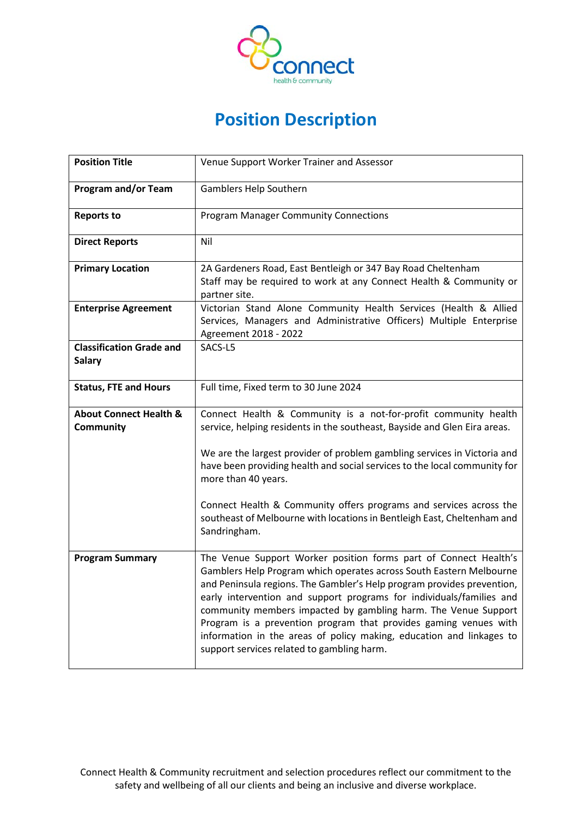

## **Position Description**

| <b>Position Title</b>                                 | Venue Support Worker Trainer and Assessor                                                                                                                                                                                                                                                                                                                                                                                                                                                                                                             |
|-------------------------------------------------------|-------------------------------------------------------------------------------------------------------------------------------------------------------------------------------------------------------------------------------------------------------------------------------------------------------------------------------------------------------------------------------------------------------------------------------------------------------------------------------------------------------------------------------------------------------|
| <b>Program and/or Team</b>                            | Gamblers Help Southern                                                                                                                                                                                                                                                                                                                                                                                                                                                                                                                                |
| <b>Reports to</b>                                     | <b>Program Manager Community Connections</b>                                                                                                                                                                                                                                                                                                                                                                                                                                                                                                          |
| <b>Direct Reports</b>                                 | Nil                                                                                                                                                                                                                                                                                                                                                                                                                                                                                                                                                   |
| <b>Primary Location</b>                               | 2A Gardeners Road, East Bentleigh or 347 Bay Road Cheltenham<br>Staff may be required to work at any Connect Health & Community or<br>partner site.                                                                                                                                                                                                                                                                                                                                                                                                   |
| <b>Enterprise Agreement</b>                           | Victorian Stand Alone Community Health Services (Health & Allied<br>Services, Managers and Administrative Officers) Multiple Enterprise<br>Agreement 2018 - 2022                                                                                                                                                                                                                                                                                                                                                                                      |
| <b>Classification Grade and</b><br><b>Salary</b>      | SACS-L5                                                                                                                                                                                                                                                                                                                                                                                                                                                                                                                                               |
| <b>Status, FTE and Hours</b>                          | Full time, Fixed term to 30 June 2024                                                                                                                                                                                                                                                                                                                                                                                                                                                                                                                 |
| <b>About Connect Health &amp;</b><br><b>Community</b> | Connect Health & Community is a not-for-profit community health<br>service, helping residents in the southeast, Bayside and Glen Eira areas.                                                                                                                                                                                                                                                                                                                                                                                                          |
|                                                       | We are the largest provider of problem gambling services in Victoria and<br>have been providing health and social services to the local community for<br>more than 40 years.                                                                                                                                                                                                                                                                                                                                                                          |
|                                                       | Connect Health & Community offers programs and services across the<br>southeast of Melbourne with locations in Bentleigh East, Cheltenham and<br>Sandringham.                                                                                                                                                                                                                                                                                                                                                                                         |
| <b>Program Summary</b>                                | The Venue Support Worker position forms part of Connect Health's<br>Gamblers Help Program which operates across South Eastern Melbourne<br>and Peninsula regions. The Gambler's Help program provides prevention,<br>early intervention and support programs for individuals/families and<br>community members impacted by gambling harm. The Venue Support<br>Program is a prevention program that provides gaming venues with<br>information in the areas of policy making, education and linkages to<br>support services related to gambling harm. |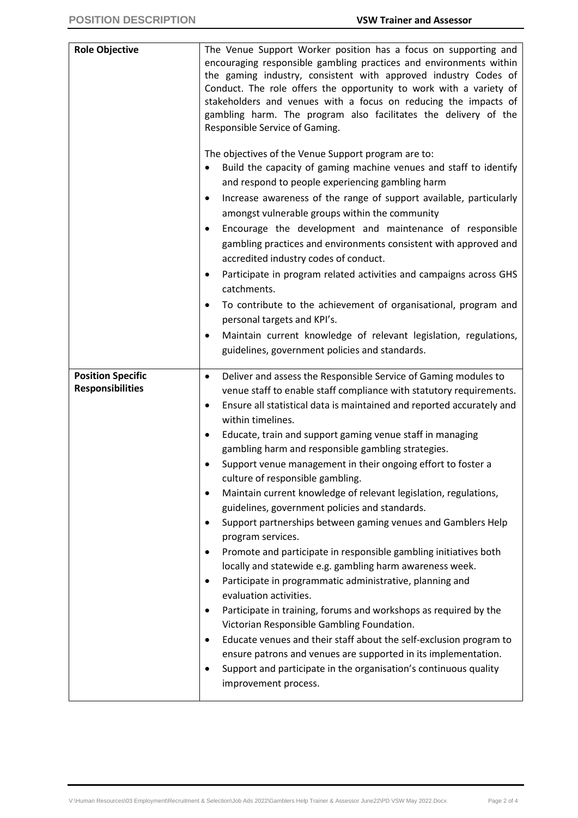| <b>Role Objective</b>    | The Venue Support Worker position has a focus on supporting and<br>encouraging responsible gambling practices and environments within<br>the gaming industry, consistent with approved industry Codes of<br>Conduct. The role offers the opportunity to work with a variety of<br>stakeholders and venues with a focus on reducing the impacts of<br>gambling harm. The program also facilitates the delivery of the<br>Responsible Service of Gaming.<br>The objectives of the Venue Support program are to:<br>Build the capacity of gaming machine venues and staff to identify<br>and respond to people experiencing gambling harm<br>Increase awareness of the range of support available, particularly<br>٠<br>amongst vulnerable groups within the community<br>Encourage the development and maintenance of responsible<br>٠<br>gambling practices and environments consistent with approved and<br>accredited industry codes of conduct.<br>Participate in program related activities and campaigns across GHS<br>catchments.<br>To contribute to the achievement of organisational, program and<br>personal targets and KPI's.<br>Maintain current knowledge of relevant legislation, regulations,<br>٠<br>guidelines, government policies and standards. |
|--------------------------|---------------------------------------------------------------------------------------------------------------------------------------------------------------------------------------------------------------------------------------------------------------------------------------------------------------------------------------------------------------------------------------------------------------------------------------------------------------------------------------------------------------------------------------------------------------------------------------------------------------------------------------------------------------------------------------------------------------------------------------------------------------------------------------------------------------------------------------------------------------------------------------------------------------------------------------------------------------------------------------------------------------------------------------------------------------------------------------------------------------------------------------------------------------------------------------------------------------------------------------------------------------------|
| <b>Position Specific</b> | Deliver and assess the Responsible Service of Gaming modules to<br>٠                                                                                                                                                                                                                                                                                                                                                                                                                                                                                                                                                                                                                                                                                                                                                                                                                                                                                                                                                                                                                                                                                                                                                                                                |
| <b>Responsibilities</b>  | venue staff to enable staff compliance with statutory requirements.                                                                                                                                                                                                                                                                                                                                                                                                                                                                                                                                                                                                                                                                                                                                                                                                                                                                                                                                                                                                                                                                                                                                                                                                 |
|                          | Ensure all statistical data is maintained and reported accurately and<br>٠                                                                                                                                                                                                                                                                                                                                                                                                                                                                                                                                                                                                                                                                                                                                                                                                                                                                                                                                                                                                                                                                                                                                                                                          |
|                          | within timelines.<br>Educate, train and support gaming venue staff in managing<br>٠                                                                                                                                                                                                                                                                                                                                                                                                                                                                                                                                                                                                                                                                                                                                                                                                                                                                                                                                                                                                                                                                                                                                                                                 |
|                          | gambling harm and responsible gambling strategies.                                                                                                                                                                                                                                                                                                                                                                                                                                                                                                                                                                                                                                                                                                                                                                                                                                                                                                                                                                                                                                                                                                                                                                                                                  |
|                          | Support venue management in their ongoing effort to foster a                                                                                                                                                                                                                                                                                                                                                                                                                                                                                                                                                                                                                                                                                                                                                                                                                                                                                                                                                                                                                                                                                                                                                                                                        |
|                          | culture of responsible gambling.                                                                                                                                                                                                                                                                                                                                                                                                                                                                                                                                                                                                                                                                                                                                                                                                                                                                                                                                                                                                                                                                                                                                                                                                                                    |
|                          | Maintain current knowledge of relevant legislation, regulations,<br>$\bullet$                                                                                                                                                                                                                                                                                                                                                                                                                                                                                                                                                                                                                                                                                                                                                                                                                                                                                                                                                                                                                                                                                                                                                                                       |
|                          | guidelines, government policies and standards.                                                                                                                                                                                                                                                                                                                                                                                                                                                                                                                                                                                                                                                                                                                                                                                                                                                                                                                                                                                                                                                                                                                                                                                                                      |
|                          | Support partnerships between gaming venues and Gamblers Help<br>$\bullet$<br>program services.                                                                                                                                                                                                                                                                                                                                                                                                                                                                                                                                                                                                                                                                                                                                                                                                                                                                                                                                                                                                                                                                                                                                                                      |
|                          | Promote and participate in responsible gambling initiatives both<br>٠                                                                                                                                                                                                                                                                                                                                                                                                                                                                                                                                                                                                                                                                                                                                                                                                                                                                                                                                                                                                                                                                                                                                                                                               |
|                          | locally and statewide e.g. gambling harm awareness week.                                                                                                                                                                                                                                                                                                                                                                                                                                                                                                                                                                                                                                                                                                                                                                                                                                                                                                                                                                                                                                                                                                                                                                                                            |
|                          | Participate in programmatic administrative, planning and<br>٠<br>evaluation activities.                                                                                                                                                                                                                                                                                                                                                                                                                                                                                                                                                                                                                                                                                                                                                                                                                                                                                                                                                                                                                                                                                                                                                                             |
|                          | Participate in training, forums and workshops as required by the<br>$\bullet$                                                                                                                                                                                                                                                                                                                                                                                                                                                                                                                                                                                                                                                                                                                                                                                                                                                                                                                                                                                                                                                                                                                                                                                       |
|                          | Victorian Responsible Gambling Foundation.                                                                                                                                                                                                                                                                                                                                                                                                                                                                                                                                                                                                                                                                                                                                                                                                                                                                                                                                                                                                                                                                                                                                                                                                                          |
|                          | Educate venues and their staff about the self-exclusion program to<br>$\bullet$                                                                                                                                                                                                                                                                                                                                                                                                                                                                                                                                                                                                                                                                                                                                                                                                                                                                                                                                                                                                                                                                                                                                                                                     |
|                          | ensure patrons and venues are supported in its implementation.                                                                                                                                                                                                                                                                                                                                                                                                                                                                                                                                                                                                                                                                                                                                                                                                                                                                                                                                                                                                                                                                                                                                                                                                      |
|                          | Support and participate in the organisation's continuous quality<br>٠                                                                                                                                                                                                                                                                                                                                                                                                                                                                                                                                                                                                                                                                                                                                                                                                                                                                                                                                                                                                                                                                                                                                                                                               |
|                          | improvement process.                                                                                                                                                                                                                                                                                                                                                                                                                                                                                                                                                                                                                                                                                                                                                                                                                                                                                                                                                                                                                                                                                                                                                                                                                                                |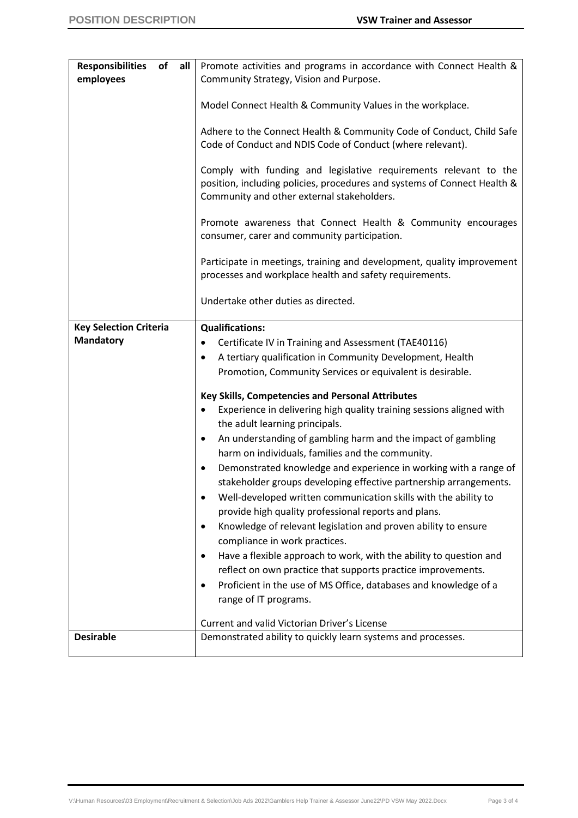| <b>Responsibilities</b>       | of all | Promote activities and programs in accordance with Connect Health &                                                                                                                        |
|-------------------------------|--------|--------------------------------------------------------------------------------------------------------------------------------------------------------------------------------------------|
| employees                     |        | Community Strategy, Vision and Purpose.                                                                                                                                                    |
|                               |        |                                                                                                                                                                                            |
|                               |        | Model Connect Health & Community Values in the workplace.                                                                                                                                  |
|                               |        |                                                                                                                                                                                            |
|                               |        | Adhere to the Connect Health & Community Code of Conduct, Child Safe<br>Code of Conduct and NDIS Code of Conduct (where relevant).                                                         |
|                               |        | Comply with funding and legislative requirements relevant to the<br>position, including policies, procedures and systems of Connect Health &<br>Community and other external stakeholders. |
|                               |        | Promote awareness that Connect Health & Community encourages<br>consumer, carer and community participation.                                                                               |
|                               |        | Participate in meetings, training and development, quality improvement<br>processes and workplace health and safety requirements.                                                          |
|                               |        | Undertake other duties as directed.                                                                                                                                                        |
| <b>Key Selection Criteria</b> |        | <b>Qualifications:</b>                                                                                                                                                                     |
| <b>Mandatory</b>              |        | Certificate IV in Training and Assessment (TAE40116)<br>٠                                                                                                                                  |
|                               |        | A tertiary qualification in Community Development, Health<br>$\bullet$                                                                                                                     |
|                               |        | Promotion, Community Services or equivalent is desirable.                                                                                                                                  |
|                               |        |                                                                                                                                                                                            |
|                               |        | Key Skills, Competencies and Personal Attributes<br>Experience in delivering high quality training sessions aligned with<br>$\bullet$                                                      |
|                               |        | the adult learning principals.                                                                                                                                                             |
|                               |        | An understanding of gambling harm and the impact of gambling<br>$\bullet$                                                                                                                  |
|                               |        | harm on individuals, families and the community.                                                                                                                                           |
|                               |        | Demonstrated knowledge and experience in working with a range of<br>$\bullet$                                                                                                              |
|                               |        | stakeholder groups developing effective partnership arrangements.                                                                                                                          |
|                               |        | Well-developed written communication skills with the ability to                                                                                                                            |
|                               |        | provide high quality professional reports and plans.                                                                                                                                       |
|                               |        | Knowledge of relevant legislation and proven ability to ensure<br>$\bullet$                                                                                                                |
|                               |        | compliance in work practices.                                                                                                                                                              |
|                               |        | Have a flexible approach to work, with the ability to question and<br>$\bullet$                                                                                                            |
|                               |        | reflect on own practice that supports practice improvements.                                                                                                                               |
|                               |        | Proficient in the use of MS Office, databases and knowledge of a<br>$\bullet$                                                                                                              |
|                               |        | range of IT programs.                                                                                                                                                                      |
|                               |        | Current and valid Victorian Driver's License                                                                                                                                               |
| <b>Desirable</b>              |        | Demonstrated ability to quickly learn systems and processes.                                                                                                                               |
|                               |        |                                                                                                                                                                                            |